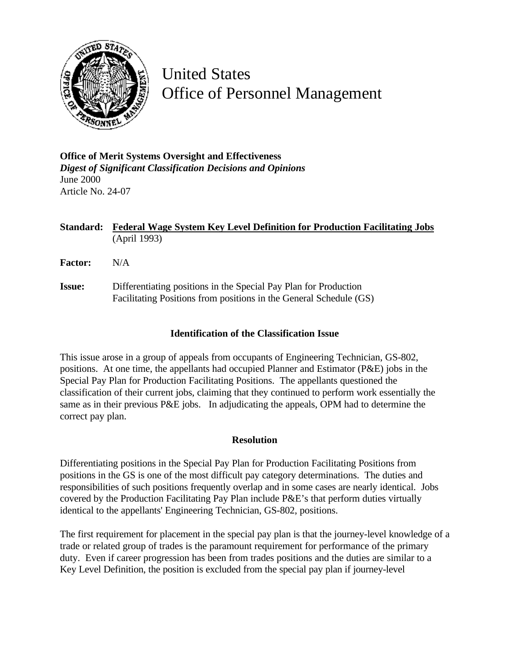

United States Office of Personnel Management

**Office of Merit Systems Oversight and Effectiveness** *Digest of Significant Classification Decisions and Opinions* June 2000 Article No. 24-07

**Standard: Federal Wage System Key Level Definition for Production Facilitating Jobs** (April 1993)

**Factor:** N/A

**Issue:** Differentiating positions in the Special Pay Plan for Production Facilitating Positions from positions in the General Schedule (GS)

## **Identification of the Classification Issue**

This issue arose in a group of appeals from occupants of Engineering Technician, GS-802, positions. At one time, the appellants had occupied Planner and Estimator (P&E) jobs in the Special Pay Plan for Production Facilitating Positions. The appellants questioned the classification of their current jobs, claiming that they continued to perform work essentially the same as in their previous P&E jobs. In adjudicating the appeals, OPM had to determine the correct pay plan.

## **Resolution**

Differentiating positions in the Special Pay Plan for Production Facilitating Positions from positions in the GS is one of the most difficult pay category determinations. The duties and responsibilities of such positions frequently overlap and in some cases are nearly identical. Jobs covered by the Production Facilitating Pay Plan include P&E's that perform duties virtually identical to the appellants' Engineering Technician, GS-802, positions.

The first requirement for placement in the special pay plan is that the journey-level knowledge of a trade or related group of trades is the paramount requirement for performance of the primary duty. Even if career progression has been from trades positions and the duties are similar to a Key Level Definition, the position is excluded from the special pay plan if journey-level